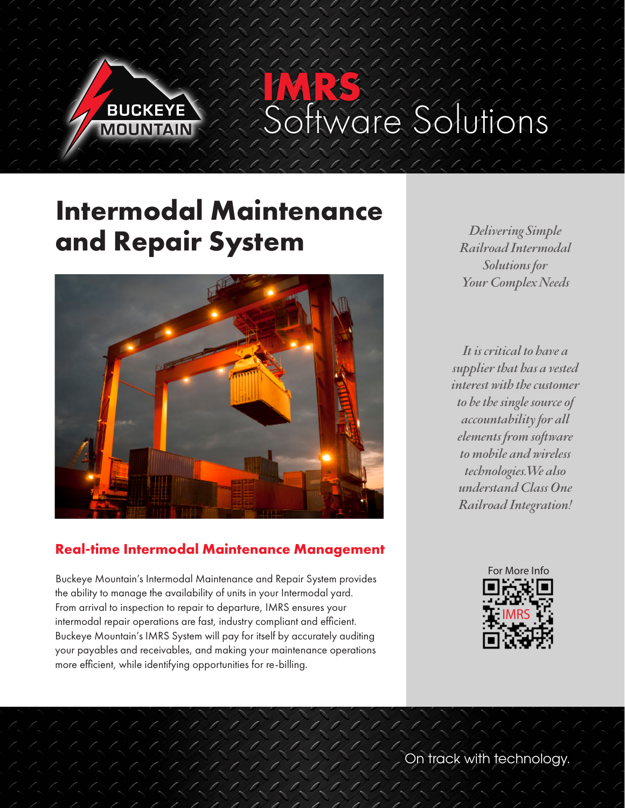

**IMRS** stions

# **Intermodal Maintenance and Repair System**



#### **Real-time Intermodal Maintenance Management**

Buckeye Mountain's Intermodal Maintenance and Repair System provides the ability to manage the availability of units in your Intermodal yard. From arrival to inspection to repair to departure, IMRS ensures your intermodal repair operations are fast, industry compliant and efficient. Buckeye Mountain's IMRS System will pay for itself by accurately auditing your payables and receivables, and making your maintenance operations more efficient, while identifying opportunities for re-billing.

Ø.,

 $\mathcal{L}_{\mathcal{A}}\left(\mathcal{A}_{\mathcal{A}}\right) = \mathcal{L}_{\mathcal{A}}\left(\mathcal{A}_{\mathcal{A}}\right) = \mathcal{L}_{\mathcal{A}}\left(\mathcal{A}_{\mathcal{A}}\right) = \mathcal{L}_{\mathcal{A}}\left(\mathcal{A}_{\mathcal{A}}\right) = \mathcal{L}_{\mathcal{A}}\left(\mathcal{A}_{\mathcal{A}}\right) = \mathcal{L}_{\mathcal{A}}\left(\mathcal{A}_{\mathcal{A}}\right) = \mathcal{L}_{\mathcal{A}}\left(\mathcal{A}_{\mathcal{A}}\right) = \mathcal{L}_{\mathcal{$  $0, 0, 0, 0, 0,$ 

*Delivering Simple Railroad Intermodal Solutions for Your Complex Needs*

*It is critical to have a supplier that has a vested interest with the customer to be the single source of accountability for all elements from software to mobile and wireless technologies.We also understand Class One Railroad Integration!*



**On track with technology.**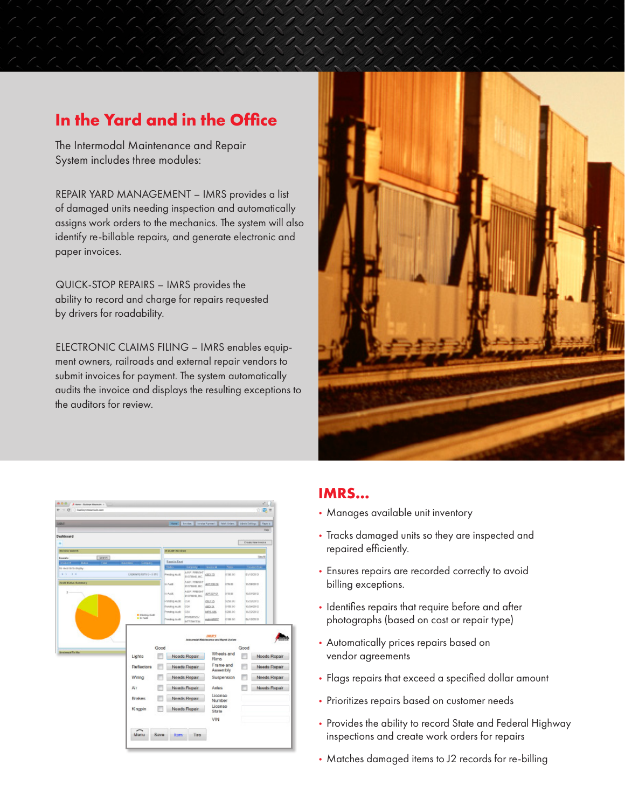## **In the Yard and in the Office**

The Intermodal Maintenance and Repair System includes three modules:

REPAIR YARD MANAGEMENT – IMRS provides a list of damaged units needing inspection and automatically assigns work orders to the mechanics. The system will also identify re-billable repairs, and generate electronic and paper invoices.

QUICK-STOP REPAIRS – IMRS provides the ability to record and charge for repairs requested by drivers for roadability.

ELECTRONIC CLAIMS FILING – IMRS enables equipment owners, railroads and external repair vendors to submit invoices for payment. The system automatically audits the invoice and displays the resulting exceptions to the auditors for review.



| 0 - Cf hadromariakean                                   |                                        |                                             |                                                              |                   |                       |                                | ō                          |
|---------------------------------------------------------|----------------------------------------|---------------------------------------------|--------------------------------------------------------------|-------------------|-----------------------|--------------------------------|----------------------------|
| LIGHT                                                   |                                        |                                             | Here: Eryke: Irvin Favori   Not-Order:   Not-Order:   Favori |                   |                       |                                |                            |
|                                                         |                                        |                                             |                                                              |                   |                       |                                | <b>Pialas</b>              |
| Dashboard                                               |                                        |                                             |                                                              |                   |                       |                                |                            |
|                                                         |                                        |                                             |                                                              |                   |                       |                                | Consider International and |
| <b>Bubica suarch</b>                                    |                                        | In Australia (A)                            |                                                              |                   |                       |                                |                            |
| <b>SIVIS</b><br><b>Geardto</b>                          |                                        |                                             |                                                              |                   |                       |                                | SmAR                       |
| Total:<br><b>Contract Contract</b><br><b>STATISTICS</b> | <b>Danisler</b><br><b>DATE</b>         | Execute Executive<br><b>College College</b> | <b>Carter Committee</b>                                      |                   | <b>Take</b>           |                                | <b>Constructions</b>       |
| No records to dropby<br>$9.3 - 1.8$                     | Displayment on it is mid-              | <b>Pending Avid</b>                         | <b>ARP PRICHT</b><br>EVERBUR, NC.                            | <b>GROUTE</b>     | 37.00.00              | svisosia                       |                            |
| <b>Josh Bake Bannery</b>                                |                                        | 31 Aug E                                    | ASP, HNIGHT<br>internation, rec.                             | 407228.06         | E78.00                | 11/08/08 (2)                   |                            |
| g.                                                      |                                        | 31 Auch                                     | ARP, PRIGHT<br>internation, Jac.                             | KX122M21          | 310.00                | <b>TASTOR O</b>                |                            |
|                                                         |                                        | <b>Panang Aust</b>                          | bon                                                          | <b>CELLED</b>     | System.               | <b>TAQUESTS</b>                |                            |
|                                                         |                                        | Penting Auck<br><b>Pending Audi</b>         | <b>ESK</b><br>btx                                            | dúúsla.           | \$150.00<br>8281.00   | <b>USANT</b><br><b>MADOB C</b> |                            |
|                                                         | <b>B Hindrick Right</b><br>the Parties |                                             | <b>FORDINGS</b>                                              | MS5.486           |                       |                                |                            |
|                                                         |                                        | <b>Pending Avid</b>                         | <b>NOTENCOM</b>                                              | materiality       | 4708.00               | <b>BARSON</b> IS               |                            |
|                                                         |                                        |                                             |                                                              |                   |                       |                                |                            |
|                                                         | Good                                   |                                             | Johnsonville Matteries were and Reyest Josians               | <b>COURTS</b>     |                       | Good                           |                            |
| <b>Anniversal To Mar</b>                                | Lights                                 |                                             | Needs Repair                                                 | <b>Rims</b>       | Wheels and            |                                | Needs Repair               |
|                                                         | Reflectors                             |                                             | Needs Repair                                                 |                   | Frame and<br>Assembly |                                | Needs Repair               |
|                                                         | Wiring                                 |                                             | Needs Repair                                                 |                   | Suspension            |                                | Needs Repair               |
|                                                         | Air                                    |                                             | Needs Repair                                                 | Axles             |                       |                                | Needs Repair               |
|                                                         | <b>Brakes</b>                          |                                             | Needs Repair                                                 | License<br>Number |                       |                                |                            |
|                                                         | Kingpin                                |                                             | Needs Repair                                                 | License<br>State  |                       |                                |                            |
|                                                         |                                        |                                             |                                                              | VIN               |                       |                                |                            |

#### **IMRS…**

- Manages available unit inventory
- Tracks damaged units so they are inspected and repaired efficiently.
- Ensures repairs are recorded correctly to avoid billing exceptions.
- Identifies repairs that require before and after photographs (based on cost or repair type)
- Automatically prices repairs based on vendor agreements
- Flags repairs that exceed a specified dollar amount
- Prioritizes repairs based on customer needs
- Provides the ability to record State and Federal Highway inspections and create work orders for repairs
- Matches damaged items to J2 records for re-billing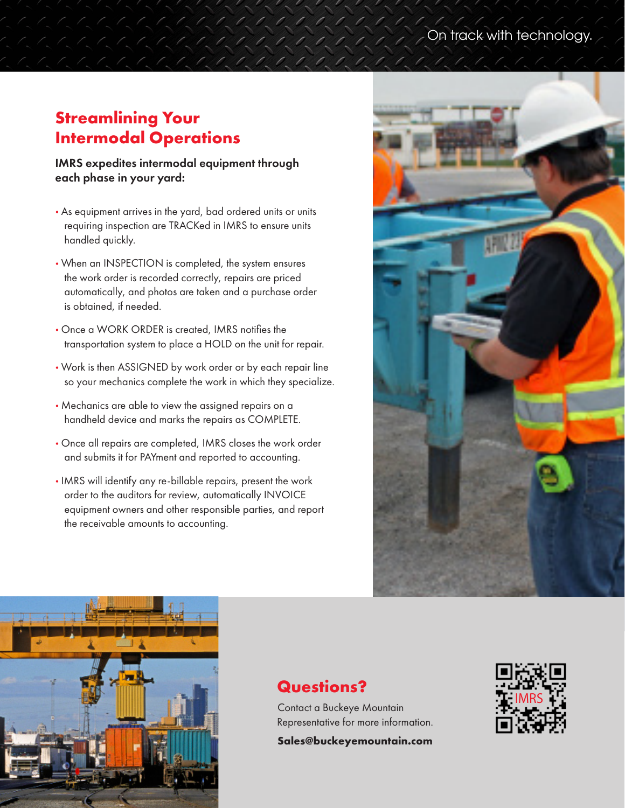## **Streamlining Your Intermodal Operations**

IMRS expedites intermodal equipment through each phase in your yard:

- As equipment arrives in the yard, bad ordered units or units requiring inspection are TRACKed in IMRS to ensure units handled quickly.
- When an INSPECTION is completed, the system ensures the work order is recorded correctly, repairs are priced automatically, and photos are taken and a purchase order is obtained, if needed.
- Once a WORK ORDER is created, IMRS notifies the transportation system to place a HOLD on the unit for repair.
- Work is then ASSIGNED by work order or by each repair line so your mechanics complete the work in which they specialize.
- Mechanics are able to view the assigned repairs on a handheld device and marks the repairs as COMPLETE.
- Once all repairs are completed, IMRS closes the work order and submits it for PAYment and reported to accounting.
- IMRS will identify any re-billable repairs, present the work order to the auditors for review, automatically INVOICE equipment owners and other responsible parties, and report the receivable amounts to accounting.





### **Questions?**

Contact a Buckeye Mountain Representative for more information.

**Sales@buckeyemountain.com**